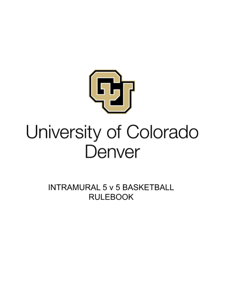

## University of Colorado Denver

**INTRAMURAL 5 v 5 BASKETBALL RULEBOOK**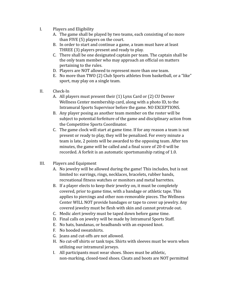- I. Players and Eligibility
	- A. The game shall be played by two teams, each consisting of no more than FIVE (5) players on the court.
	- B. In order to start and continue a game, a team must have at least THREE (3) players present and ready to play.
	- C. There shall be one designated captain per team. The captain shall be the only team member who may approach an official on matters pertaining to the rules.
	- D. Players are NOT allowed to represent more than one team.
	- E. No more than TWO (2) Club Sports athletes from basketball, or a "like" sport, may play on a single team.
- II. Check-In
	- A. All players must present their (1) Lynx Card or (2) CU Denver Wellness Center membership card, along with a photo ID, to the Intramural Sports Supervisor before the game. NO EXCEPTIONS.
	- B. Any player posing as another team member on the roster will be subject to potential forfeiture of the game and disciplinary action from the Competitive Sports Coordinator.
	- C. The game clock will start at game time. If for any reason a team is not present or ready to play, they will be penalized. For every minute a team is late, 2 points will be awarded to the opposing team. After ten minutes, the game will be called and a final score of 20-0 will be recorded. A forfeit is an automatic sportsmanship rating of 1.0.
- III. Players and Equipment
	- A. No jewelry will be allowed during the game! This includes, but is not limited to: earrings, rings, necklaces, bracelets, rubber bands, recreational fitness watches or monitors and metal barrettes.
	- B. If a player elects to keep their jewelry on, it must be completely covered, prior to game time, with a bandage or athletic tape. This applies to piercings and other non-removable pieces. The Wellness Center WILL NOT provide bandages or tape to cover up jewelry. Any covered jewelry must be flesh with skin and cannot protrude out.
	- C. Medic alert jewelry must be taped down before game time.
	- D. Final calls on jewelry will be made by Intramural Sports Staff.
	- E. No hats, bandanas, or headbands with an exposed knot.
	- F. No hooded sweatshirts.
	- G. Jeans and cut-offs are not allowed.
	- H. No cut-off shirts or tank tops. Shirts with sleeves must be worn when utilizing our intramural jerseys.
	- I. All participants must wear shoes. Shoes must be athletic, non-marking, closed-toed shoes. Cleats and boots are NOT permitted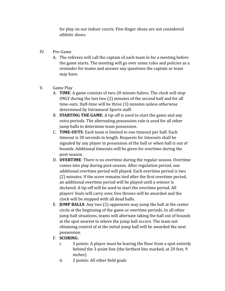for play on our indoor courts. Five-finger shoes are not considered athletic shoes.

- IV. Pre-Game
	- A. The referees will call the captain of each team in for a meeting before the game starts. The meeting will go over some rules and policies as a reminder for teams and answer any questions the captain or team may have.
- V. Game Play
	- A. **TIME**: A game consists of two-20 minute halves. The clock will stop ONLY during the last two (2) minutes of the second half and for all time-outs. Half-time will be three (3) minutes unless otherwise determined by Intramural Sports staff.
	- B. **STARTING THE GAME**: A tip-off is used to start the game and any extra periods. The alternating possession rule is used for all other jump balls to determine team possession.
	- C. **TIME-OUTS**: Each team is limited to one timeout per half. Each timeout is 30 seconds in length. Requests for timeouts shall be signaled by any player in possession of the ball or when ball is out of bounds. Additional timeouts will be given for overtime during the post-season.
	- D. **OVERTIME**: There is no overtime during the regular season. Overtime comes into play during post-season. After regulation period, one additional overtime period will played. Each overtime period is two (2) minutes. If the score remains tied after the first overtime period, an additional overtime period will be played until a winner is declared. A tip-off will be used to start the overtime period. All players' fouls will carry over, free throws will be awarded and the clock will be stopped with all dead balls.
	- E. **JUMP BALLS**: Any two (2) opponents may jump the ball at the center circle at the beginning of the game or overtime periods. In all other jump ball situations, teams will alternate taking the ball out of bounds at the spot nearest to where the jump ball occurs. The team not obtaining control of at the initial jump ball will be awarded the next possession.
	- F. **SCORING**:
		- i. 3 points: A player must be leaving the floor from a spot entirely behind the 3-point line (the farthest line marked; at 20 feet, 9 inches)
		- ii. 2 points: All other field goals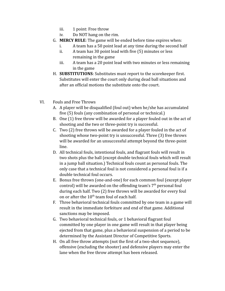- iii. 1 point: Free throw
- iv. Do NOT hang on the rim.
- G. **MERCY RULE**: The game will be ended before time expires when:
	- i. A team has a 50 point lead at any time during the second half
	- ii. A team has 30 point lead with five (5) minutes or less remaining in the game
	- iii. A team has a 20 point lead with two minutes or less remaining in the game
- H. **SUBSTITUTIONS**: Substitutes must report to the scorekeeper first. Substitutes will enter the court only during dead ball situations and after an official motions the substitute onto the court.
- VI. Fouls and Free Throws
	- A. A player will be disqualified (foul out) when he/she has accumulated five (5) fouls (any combination of personal or technical.)
	- B. One (1) free throw will be awarded for a player fouled out in the act of shooting and the two or three-point try is successful.
	- C. Two (2) free throws will be awarded for a player fouled in the act of shooting whose two-point try is unsuccessful. Three (3) free throws will be awarded for an unsuccessful attempt beyond the three-point line.
	- D. All technical fouls, intentional fouls, and flagrant fouls will result in two shots plus the ball (except double technical fouls which will result in a jump ball situation.) Technical fouls count as personal fouls. The only case that a technical foul is not considered a personal foul is if a double technical foul occurs.
	- E. Bonus free throws (one-and-one) for each common foul (except player control) will be awarded on the offending team's  $7<sup>th</sup>$  personal foul during each half. Two (2) free throws will be awarded for every foul on or after the  $10<sup>th</sup>$  team foul of each half.
	- F. Three behavioral technical fouls committed by one team in a game will result in the immediate forfeiture and end of that game. Additional sanctions may be imposed.
	- G. Two behavioral technical fouls, or 1 behavioral flagrant foul committed by one player in one game will result in that player being ejected from that game, plus a behavioral suspension of a period to be determined by the Assistant Director of Competitive Sports.
	- H. On all free throw attempts (not the first of a two-shot sequence), offensive (excluding the shooter) and defensive players may enter the lane when the free throw attempt has been released.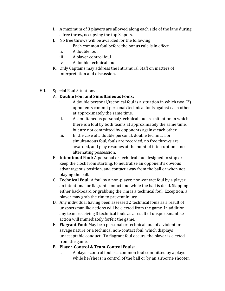- I. A maximum of 3 players are allowed along each side of the lane during a free throw, occupying the top 3 spots.
- J. No free throws will be awarded for the following:
	- i. Each common foul before the bonus rule is in effect
	- ii. A double foul
	- iii. A player control foul
	- iv. A double technical foul
- K. Only Captains may address the Intramural Staff on matters of interpretation and discussion.
- VII. Special Foul Situations

## A. **Double Foul and Simultaneous Fouls:**

- i. A double personal/technical foul is a situation in which two (2) opponents commit personal/technical fouls against each other at approximately the same time.
- ii. A simultaneous personal/technical foul is a situation in which there is a foul by both teams at approximately the same time, but are not committed by opponents against each other.
- iii. In the case of a double personal, double technical, or simultaneous foul, fouls are recorded, no free throws are awarded, and play resumes at the point of interruption—no alternating possession.
- B. **Intentional Foul:** A personal or technical foul designed to stop or keep the clock from starting, to neutralize an opponent's obvious advantageous position, and contact away from the ball or when not playing the ball.
- C. **Technical Foul:** A foul by a non-player, non-contact foul by a player; an intentional or flagrant contact foul while the ball is dead. Slapping either backboard or grabbing the rim is a technical foul. Exception: a player may grab the rim to prevent injury.
- D. Any individual having been assessed 2 technical fouls as a result of unsportsmanlike actions will be ejected from the game. In addition, any team receiving 3 technical fouls as a result of unsportsmanlike action will immediately forfeit the game.
- E. **Flagrant Foul:** May be a personal or technical foul of a violent or savage nature or a technical non-contact foul, which displays unacceptable conduct. If a flagrant foul occurs, the player is ejected from the game.
- **F. Player-Control & Team-Control Fouls:**
	- i. A player-control foul is a common foul committed by a player while he/she is in control of the ball or by an airborne shooter.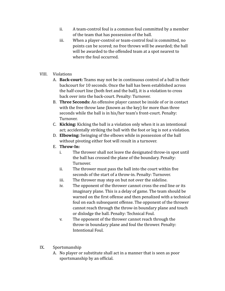- ii. A team-control foul is a common foul committed by a member of the team that has possession of the ball.
- iii. When a player-control or team-control foul is committed, no points can be scored; no free throws will be awarded; the ball will be awarded to the offended team at a spot nearest to where the foul occurred.

## VIII. Violations

- A. **Back-court:** Teams may not be in continuous control of a ball in their backcourt for 10 seconds. Once the ball has been established across the half-court line (both feet and the ball), it is a violation to cross back over into the back-court. Penalty: Turnover.
- B. **Three Seconds:** An offensive player cannot be inside of or in contact with the free throw lane (known as the key) for more than three seconds while the ball is in his/her team's front-court. Penalty: Turnover.
- C. **Kicking:** Kicking the ball is a violation only when it is an intentional act; accidentally striking the ball with the foot or leg is not a violation.
- D. **Elbowing:** Swinging of the elbows while in possession of the ball without pivoting either foot will result in a turnover.
- E. **Throw-In:**
	- i. The thrower shall not leave the designated throw-in spot until the ball has crossed the plane of the boundary. Penalty: Turnover.
	- ii. The thrower must pass the ball into the court within five seconds of the start of a throw-in. Penalty: Turnover.
	- iii. The thrower may step on but not over the sideline.
	- iv. The opponent of the thrower cannot cross the end line or its imaginary plane. This is a delay of game. The team should be warned on the first offense and then penalized with a technical foul on each subsequent offense. The opponent of the thrower cannot reach through the throw-in boundary plane and touch or dislodge the ball. Penalty: Technical Foul.
	- v. The opponent of the thrower cannot reach through the throw-in boundary plane and foul the thrower. Penalty: Intentional Foul.

## IX. Sportsmanship

A. No player or substitute shall act in a manner that is seen as poor sportsmanship by an official.